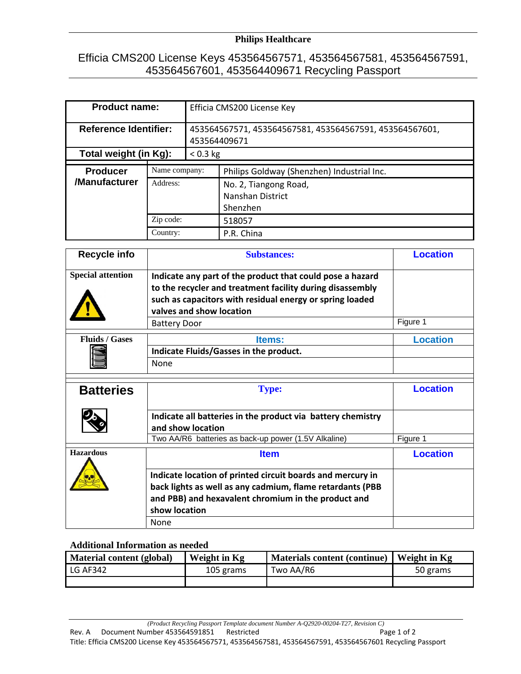## **Philips Healthcare**

## Efficia CMS200 License Keys 453564567571, 453564567581, 453564567591, 453564567601, 453564409671 Recycling Passport

| <b>Product name:</b>             |          | Efficia CMS200 License Key                                              |                                                       |  |
|----------------------------------|----------|-------------------------------------------------------------------------|-------------------------------------------------------|--|
| <b>Reference Identifier:</b>     |          | 453564567571, 453564567581, 453564567591, 453564567601,<br>453564409671 |                                                       |  |
| Total weight (in Kg):            |          | $< 0.3$ kg                                                              |                                                       |  |
| <b>Producer</b><br>Name company: |          |                                                                         | Philips Goldway (Shenzhen) Industrial Inc.            |  |
| /Manufacturer                    | Address: |                                                                         | No. 2, Tiangong Road,<br>Nanshan District<br>Shenzhen |  |
| Zip code:<br>Country:            |          |                                                                         | 518057                                                |  |
|                                  |          |                                                                         | P.R. China                                            |  |

| <b>Special attention</b> | Indicate any part of the product that could pose a hazard<br>to the recycler and treatment facility during disassembly                                                                                  |                 |
|--------------------------|---------------------------------------------------------------------------------------------------------------------------------------------------------------------------------------------------------|-----------------|
|                          | such as capacitors with residual energy or spring loaded<br>valves and show location                                                                                                                    |                 |
|                          | <b>Battery Door</b>                                                                                                                                                                                     | Figure 1        |
| <b>Fluids / Gases</b>    | <b>Items:</b><br>Indicate Fluids/Gasses in the product.<br><b>None</b>                                                                                                                                  | <b>Location</b> |
| <b>Batteries</b>         | <b>Type:</b>                                                                                                                                                                                            | <b>Location</b> |
|                          | Indicate all batteries in the product via battery chemistry<br>and show location<br>Two AA/R6 batteries as back-up power (1.5V Alkaline)                                                                | Figure 1        |
| <b>Hazardous</b>         | <b>Item</b>                                                                                                                                                                                             | <b>Location</b> |
|                          | Indicate location of printed circuit boards and mercury in<br>back lights as well as any cadmium, flame retardants (PBB<br>and PBB) and hexavalent chromium in the product and<br>show location<br>None |                 |

## **Additional Information as needed**

| Material content (global) | Weight in Kg | <b>Materials content (continue)</b> | Weight in Kg |
|---------------------------|--------------|-------------------------------------|--------------|
| <b>LG AF342</b>           | 105 grams    | Two AA/R6                           | 50 grams     |
|                           |              |                                     |              |